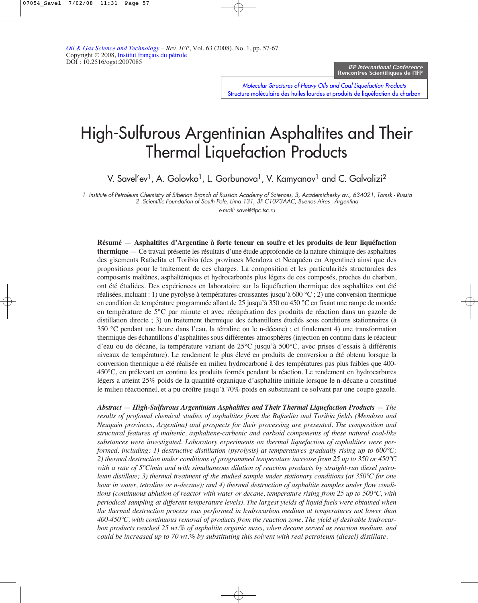Molecular Structures of Heavy Oils and Coal Liquefaction Products [Structure moléculaire des huiles lourdes et produits de liquéfaction du charbon](http://ogst.ifp.fr/index.php?option=toc&url=/articles/ogst/abs/2008/01/contents/contents.html)

# High-Sulfurous Argentinian Asphaltites and Their Thermal Liquefaction Products

V. Savel'ev<sup>1</sup>, A. Golovko<sup>1</sup>, L. Gorbunova<sup>1</sup>, V. Kamyanov<sup>1</sup> and C. Galvalizi<sup>2</sup>

1 Institute of Petroleum Chemistry of Siberian Branch of Russian Academy of Sciences, 3, Academichesky av., 634021, Tomsk - Russia 2 Scientific Foundation of South Pole, Lima 131, 3F C1073AAC, Buenos Aires - Argentina

e-mail: savel@ipc.tsc.ru

**Résumé** — **Asphaltites d'Argentine à forte teneur en soufre et les produits de leur liquéfaction thermique** — Ce travail présente les résultats d'une étude approfondie de la nature chimique des asphaltites des gisements Rafaelita et Toribia (des provinces Mendoza et Neuquéen en Argentine) ainsi que des propositions pour le traitement de ces charges. La composition et les particularités structurales des composants maltènes, asphalténiques et hydrocarbonés plus légers de ces composés, proches du charbon, ont été étudiées. Des expériences en laboratoire sur la liquéfaction thermique des asphaltites ont été réalisées, incluant : 1) une pyrolyse à températures croissantes jusqu'à 600 °C ; 2) une conversion thermique en condition de température programmée allant de 25 jusqu'à 350 ou 450 °C en fixant une rampe de montée en température de 5°C par minute et avec récupération des produits de réaction dans un gazole de distillation directe ; 3) un traitement thermique des échantillons étudiés sous conditions stationnaires (à 350 °C pendant une heure dans l'eau, la tétraline ou le n-décane) ; et finalement 4) une transformation thermique des échantillons d'asphaltites sous différentes atmosphères (injection en continu dans le réacteur d'eau ou de décane, la température variant de 25°C jusqu'à 500°C, avec prises d'essais à différents niveaux de température). Le rendement le plus élevé en produits de conversion a été obtenu lorsque la conversion thermique a été réalisée en milieu hydrocarboné à des températures pas plus faibles que 400- 450°C, en prélevant en continu les produits formés pendant la réaction. Le rendement en hydrocarbures légers a atteint 25% poids de la quantité organique d'asphaltite initiale lorsque le n-décane a constitué le milieu réactionnel, et a pu croître jusqu'à 70% poids en substituant ce solvant par une coupe gazole.

*Abstract* — *High-Sulfurous Argentinian Asphaltites and Their Thermal Liquefaction Products* — *The results of profound chemical studies of asphaltites from the Rafaelita and Toribia fields (Mendosa and Neuquén provinces, Argentina) and prospects for their processing are presented. The composition and structural features of maltenic, asphaltene-carbenic and carboid components of these natural coal-like substances were investigated. Laboratory experiments on thermal liquefaction of asphaltites were performed, including: 1) destructive distillation (pyrolysis) at temperatures gradually rising up to 600°C; 2) thermal destruction under conditions of programmed temperature increase from 25 up to 350 or 450°C with a rate of 5°C/min and with simultaneous dilution of reaction products by straight-run diesel petroleum distillate; 3) thermal treatment of the studied sample under stationary conditions (at 350°C for one hour in water, tetraline or n-decane); and 4) thermal destruction of asphaltite samples under flow conditions (continuous ablution of reactor with water or decane, temperature rising from 25 up to 500°C, with periodical sampling at different temperature levels). The largest yields of liquid fuels were obtained when the thermal destruction process was performed in hydrocarbon medium at temperatures not lower than 400-450°C, with continuous removal of products from the reaction zone. The yield of desirable hydrocarbon products reached 25 wt.% of asphaltite organic mass, when decane served as reaction medium, and could be increased up to 70 wt.% by substituting this solvent with real petroleum (diesel) distillate.*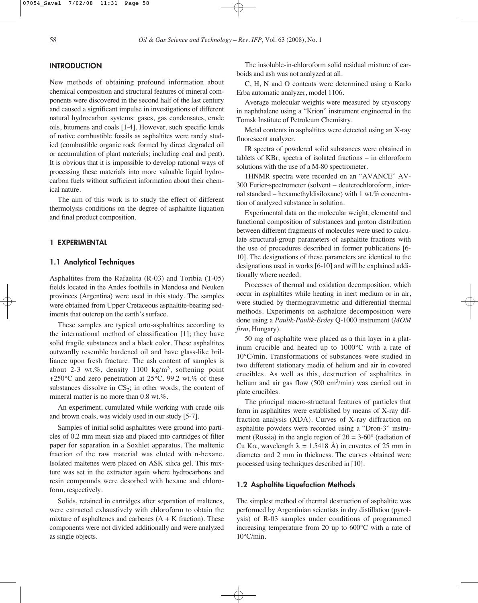## **INTRODUCTION**

New methods of obtaining profound information about chemical composition and structural features of mineral components were discovered in the second half of the last century and caused a significant impulse in investigations of different natural hydrocarbon systems: gases, gas condensates, crude oils, bitumens and coals [1-4]. However, such specific kinds of native combustible fossils as asphaltites were rarely studied (combustible organic rock formed by direct degraded oil or accumulation of plant materials; including coal and peat). It is obvious that it is impossible to develop rational ways of processing these materials into more valuable liquid hydrocarbon fuels without sufficient information about their chemical nature.

The aim of this work is to study the effect of different thermolysis conditions on the degree of asphaltite liquation and final product composition.

## 1 EXPERIMENTAL

## 1.1 Analytical Techniques

Asphaltites from the Rafaelita (R-03) and Toribia (T-05) fields located in the Andes foothills in Mendosa and Neuken provinces (Argentina) were used in this study. The samples were obtained from Upper Cretaceous asphaltite-bearing sediments that outcrop on the earth's surface.

These samples are typical orto-asphaltites according to the international method of classification [1]; they have solid fragile substances and a black color. These asphaltites outwardly resemble hardened oil and have glass-like brilliance upon fresh fracture. The ash content of samples is about 2-3 wt.%, density  $1100 \text{ kg/m}^3$ , softening point +250 $^{\circ}$ C and zero penetration at 25 $^{\circ}$ C. 99.2 wt.% of these substances dissolve in  $CS_2$ ; in other words, the content of mineral matter is no more than 0.8 wt.%.

An experiment, cumulated while working with crude oils and brown coals, was widely used in our study [5-7].

Samples of initial solid asphaltites were ground into particles of 0.2 mm mean size and placed into cartridges of filter paper for separation in a Soxhlet apparatus. The maltenic fraction of the raw material was eluted with n-hexane. Isolated maltenes were placed on ASK silica gel. This mixture was set in the extractor again where hydrocarbons and resin compounds were desorbed with hexane and chloroform, respectively.

Solids, retained in cartridges after separation of maltenes, were extracted exhaustively with chloroform to obtain the mixture of asphaltenes and carbenes  $(A + K)$  fraction). These components were not divided additionally and were analyzed as single objects.

The insoluble-in-chloroform solid residual mixture of carboids and ash was not analyzed at all.

C, H, N and O contents were determined using a Karlo Erba automatic analyzer, model 1106.

Average molecular weights were measured by cryoscopy in naphthalene using a "Krion" instrument engineered in the Tomsk Institute of Petroleum Chemistry.

Metal contents in asphaltites were detected using an X-ray fluorescent analyzer.

IR spectra of powdered solid substances were obtained in tablets of KBr; spectra of isolated fractions – in chloroform solutions with the use of a M-80 spectrometer.

1HNMR spectra were recorded on an "AVANCE" AV-300 Furier-spectrometer (solvent – deuterochloroform, internal standard – hexamethyldisiloxane) with 1 wt.% concentration of analyzed substance in solution.

Experimental data on the molecular weight, elemental and functional composition of substances and proton distribution between different fragments of molecules were used to calculate structural-group parameters of asphaltite fractions with the use of procedures described in former publications [6- 10]. The designations of these parameters are identical to the designations used in works [6-10] and will be explained additionally where needed.

Processes of thermal and oxidation decomposition, which occur in asphaltites while heating in inert medium or in air, were studied by thermogravimetric and differential thermal methods. Experiments on asphaltite decomposition were done using a *Paulik-Paulik-Erdey* Q-1000 instrument (*MOM firm*, Hungary).

50 mg of asphaltite were placed as a thin layer in a platinum crucible and heated up to 1000°C with a rate of 10°C/min. Transformations of substances were studied in two different stationary media of helium and air in covered crucibles. As well as this, destruction of asphaltites in helium and air gas flow  $(500 \text{ cm}^3/\text{min})$  was carried out in plate crucibles.

The principal macro-structural features of particles that form in asphaltites were established by means of X-ray diffraction analysis (XDA). Curves of X-ray diffraction on asphaltite powders were recorded using a "Dron-3" instrument (Russia) in the angle region of  $2\theta = 3{\text -}60^{\circ}$  (radiation of Cu K $\alpha$ , wavelength  $\lambda = 1.5418$  Å) in cuvettes of 25 mm in diameter and 2 mm in thickness. The curves obtained were processed using techniques described in [10].

#### 1.2 Asphaltite Liquefaction Methods

The simplest method of thermal destruction of asphaltite was performed by Argentinian scientists in dry distillation (pyrolysis) of R-03 samples under conditions of programmed increasing temperature from 20 up to 600°C with a rate of 10°C/min.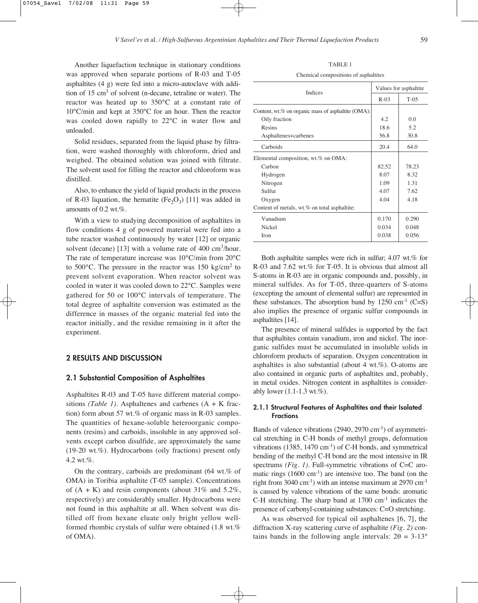Another liquefaction technique in stationary conditions was approved when separate portions of R-03 and T-05 asphaltites (4 g) were fed into a micro-autoclave with addition of 15 cm3 of solvent (n-decane, tetraline or water). The reactor was heated up to 350°C at a constant rate of 10°C/min and kept at 350°C for an hour. Then the reactor was cooled down rapidly to 22°C in water flow and unloaded.

Solid residues, separated from the liquid phase by filtration, were washed thoroughly with chloroform, dried and weighed. The obtained solution was joined with filtrate. The solvent used for filling the reactor and chloroform was distilled.

Also, to enhance the yield of liquid products in the process of R-03 liquation, the hematite (Fe<sub>2</sub>O<sub>3</sub>) [11] was added in amounts of 0.2 wt.%.

With a view to studying decomposition of asphaltites in flow conditions 4 g of powered material were fed into a tube reactor washed continuously by water [12] or organic solvent (decane) [13] with a volume rate of 400 cm<sup>3</sup>/hour. The rate of temperature increase was 10°C/min from 20°C to  $500^{\circ}$ C. The pressure in the reactor was 150 kg/cm<sup>2</sup> to prevent solvent evaporation. When reactor solvent was cooled in water it was cooled down to 22°C. Samples were gathered for 50 or 100°C intervals of temperature. The total degree of asphaltite conversion was estimated as the difference in masses of the organic material fed into the reactor initially, and the residue remaining in it after the experiment.

## 2 RESULTS AND DISCUSSION

#### 2.1 Substantial Composition of Asphaltites

Asphaltites R-03 and T-05 have different material compositions *(Table 1)*. Asphaltenes and carbenes (A + K fraction) form about 57 wt.% of organic mass in R-03 samples. The quantities of hexane-soluble heteroorganic components (resins) and carboids, insoluble in any approved solvents except carbon disulfide, are approximately the same (19-20 wt.%). Hydrocarbons (oily fractions) present only 4.2 wt.%.

On the contrary, carboids are predominant (64 wt.% of OMA) in Toribia asphaltite (T-05 sample). Concentrations of  $(A + K)$  and resin components (about 31% and 5.2%, respectively) are considerably smaller. Hydrocarbons were not found in this asphaltite at all. When solvent was distilled off from hexane eluate only bright yellow wellformed rhombic crystals of sulfur were obtained (1.8 wt.% of OMA).

TABLE 1

Chemical compositions of asphaltites

| <b>Indices</b>                                     | Values for asphaltite |         |  |
|----------------------------------------------------|-----------------------|---------|--|
|                                                    | $R-0.3$               | $T-0.5$ |  |
| Content, wt.% on organic mass of asphaltite (OMA): |                       |         |  |
| Oily fraction                                      | 4.2                   | 0.0     |  |
| Resins                                             | 18.6                  | 5.2     |  |
| Asphaltenes+carbenes                               | 56.8                  | 30.8    |  |
| Carboids                                           | 20.4                  | 64.0    |  |
| Elemental composition, wt.% on OMA:                |                       |         |  |
| Carbon                                             | 82.52                 | 78.23   |  |
| Hydrogen                                           | 8.07                  | 8.32    |  |
| Nitrogen                                           | 1.09                  | 1.31    |  |
| Sulfur                                             | 4.07                  | 7.62    |  |
| Oxygen                                             | 4.04                  | 4.18    |  |
| Content of metals, wt.% on total asphaltite:       |                       |         |  |
| Vanadium                                           | 0.170                 | 0.290   |  |
| Nickel                                             | 0.034                 | 0.048   |  |
| Iron                                               | 0.038                 | 0.056   |  |

Both asphaltite samples were rich in sulfur; 4.07 wt.% for R-03 and 7.62 wt.% for T-05. It is obvious that almost all S-atoms in R-03 are in organic compounds and, possibly, in mineral sulfides. As for T-05, three-quarters of S-atoms (excepting the amount of elemental sulfur) are represented in these substances. The absorption band by  $1250 \text{ cm}^{-1}$  (C=S) also implies the presence of organic sulfur compounds in asphaltites [14].

The presence of mineral sulfides is supported by the fact that asphaltites contain vanadium, iron and nickel. The inorganic sulfides must be accumulated in insoluble solids in chloroform products of separation. Oxygen concentration in asphaltites is also substantial (about 4 wt.%). O-atoms are also contained in organic parts of asphaltites and, probably, in metal oxides. Nitrogen content in asphaltites is considerably lower (1.1-1.3 wt.%).

#### 2.1.1 Structural Features of Asphaltites and their Isolated Fractions

Bands of valence vibrations (2940, 2970 cm-1) of asymmetrical stretching in C-H bonds of methyl groups, deformation vibrations  $(1385, 1470 \text{ cm}^{-1})$  of C-H bonds, and symmetrical bending of the methyl C-H bond are the most intensive in IR spectrums *(Fig. 1)*. Full-symmetric vibrations of C=C aromatic rings  $(1600 \text{ cm}^{-1})$  are intensive too. The band (on the right from 3040 cm<sup>-1</sup>) with an intense maximum at 2970 cm<sup>-1</sup> is caused by valence vibrations of the same bonds: aromatic C-H stretching. The sharp band at  $1700 \text{ cm}^{-1}$  indicates the presence of carbonyl-containing substances: C=O stretching.

As was observed for typical oil asphaltenes [6, 7], the diffraction X-ray scattering curve of asphaltite *(Fig. 2)* contains bands in the following angle intervals:  $2\theta = 3-13^{\circ}$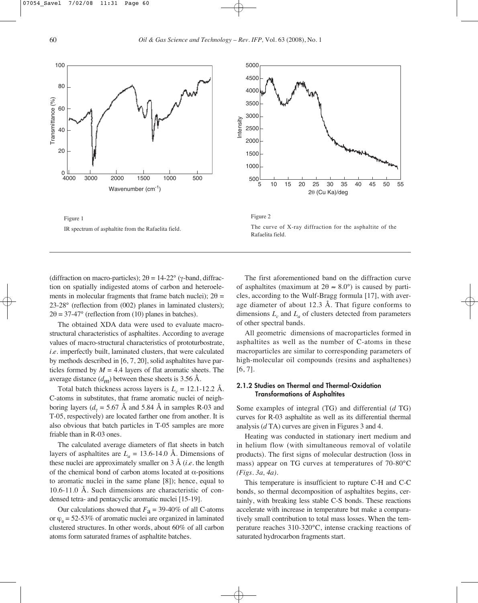







(diffraction on macro-particles); 2θ = 14-22° (γ-band, diffraction on spatially indigested atoms of carbon and heteroelements in molecular fragments that frame batch nuclei);  $2\theta =$ 23-28° (reflection from (002) planes in laminated clusters);  $2\theta = 37-47^{\circ}$  (reflection from (10) planes in batches).

The obtained XDA data were used to evaluate macrostructural characteristics of asphaltites. According to average values of macro-structural characteristics of prototurbostrate, *i*.*e*. imperfectly built, laminated clusters, that were calculated by methods described in [6, 7, 20], solid asphaltites have particles formed by  $M = 4.4$  layers of flat aromatic sheets. The average distance  $(d_m)$  between these sheets is 3.56 Å.

Total batch thickness across layers is  $L_c = 12.1$ -12.2 Å. C-atoms in substitutes, that frame aromatic nuclei of neighboring layers ( $d<sub>v</sub> = 5.67$  Å and 5.84 Å in samples R-03 and T-05, respectively) are located farther one from another. It is also obvious that batch particles in T-05 samples are more friable than in R-03 ones.

The calculated average diameters of flat sheets in batch layers of asphaltites are  $L_a = 13.6$ -14.0 Å. Dimensions of these nuclei are approximately smaller on 3 Å (*i*.*e*. the length of the chemical bond of carbon atoms located at α-positions to aromatic nuclei in the same plane [8]); hence, equal to 10.6-11.0 Å. Such dimensions are characteristic of condensed tetra- and pentacyclic aromatic nuclei [15-19].

Our calculations showed that  $F_a = 39-40\%$  of all C-atoms or  $\varphi$ <sub>a</sub> = 52-53% of aromatic nuclei are organized in laminated clustered structures. In other words, about 60% of all carbon atoms form saturated frames of asphaltite batches.

The first aforementioned band on the diffraction curve of asphaltites (maximum at  $2\theta \approx 8.0^{\circ}$ ) is caused by particles, according to the Wulf-Bragg formula [17], with average diameter of about 12.3 Å. That figure conforms to dimensions  $L_c$  and  $L_a$  of clusters detected from parameters of other spectral bands.

All geometric dimensions of macroparticles formed in asphaltites as well as the number of C-atoms in these macroparticles are similar to corresponding parameters of high-molecular oil compounds (resins and asphaltenes) [6, 7].

#### 2.1.2 Studies on Thermal and Thermal-Oxidation Transformations of Asphaltites

Some examples of integral (TG) and differential (*d* TG) curves for R-03 asphaltite as well as its differential thermal analysis (*d* TA) curves are given in Figures 3 and 4.

Heating was conducted in stationary inert medium and in helium flow (with simultaneous removal of volatile products). The first signs of molecular destruction (loss in mass) appear on TG curves at temperatures of 70-80°C *(Figs. 3a, 4a)*.

This temperature is insufficient to rupture C-H and C-C bonds, so thermal decomposition of asphaltites begins, certainly, with breaking less stable C-S bonds. These reactions accelerate with increase in temperature but make a comparatively small contribution to total mass losses. When the temperature reaches 310-320°C, intense cracking reactions of saturated hydrocarbon fragments start.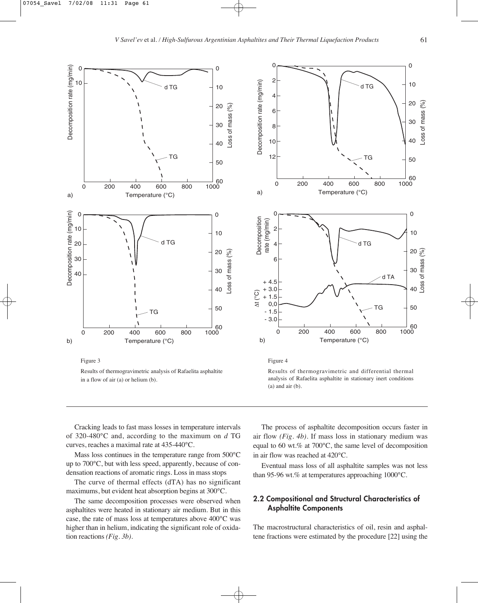

Figure 3

Results of thermogravimetric analysis of Rafaelita asphaltite in a flow of air (a) or helium (b).



Figure 4

Results of thermogravimetric and differential thermal analysis of Rafaelita asphaltite in stationary inert conditions (a) and air (b).

Cracking leads to fast mass losses in temperature intervals of 320-480°C and, according to the maximum on *d* TG curves, reaches a maximal rate at 435-440°C.

Mass loss continues in the temperature range from 500°C up to 700°C, but with less speed, apparently, because of condensation reactions of aromatic rings. Loss in mass stops

The curve of thermal effects (dTA) has no significant maximums, but evident heat absorption begins at 300°C.

The same decomposition processes were observed when asphaltites were heated in stationary air medium. But in this case, the rate of mass loss at temperatures above 400°C was higher than in helium, indicating the significant role of oxidation reactions *(Fig. 3b)*.

The process of asphaltite decomposition occurs faster in air flow *(Fig. 4b)*. If mass loss in stationary medium was equal to 60 wt.% at 700°C, the same level of decomposition in air flow was reached at 420°C.

Eventual mass loss of all asphaltite samples was not less than 95-96 wt.% at temperatures approaching 1000°C.

# 2.2 Compositional and Structural Characteristics of Asphaltite Components

The macrostructural characteristics of oil, resin and asphaltene fractions were estimated by the procedure [22] using the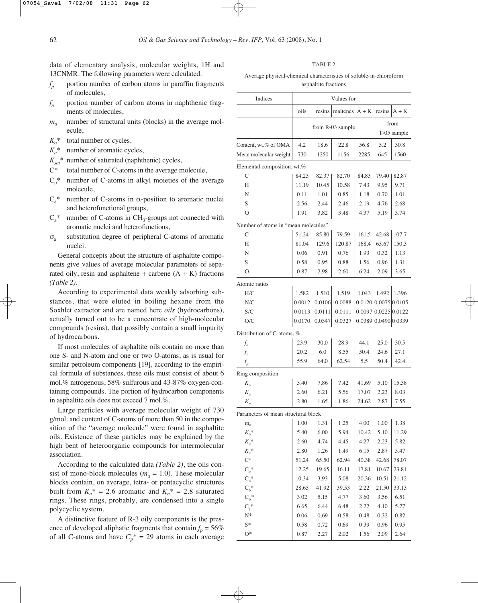data of elementary analysis, molecular weights, 1H and 13CNMR. The following parameters were calculated:

- $f_p$  portion number of carbon atoms in paraffin fragments of molecules,
- $f_n$  portion number of carbon atoms in naphthenic fragments of molecules,
- $m_a$  number of structural units (blocks) in the average molecule,
- $K_o^*$  total number of cycles,
- $K_a^*$  number of aromatic cycles,
- $K_{\text{sat}}$ <sup>\*</sup> number of saturated (naphthenic) cycles,
- C\* total number of C-atoms in the average molecule,
- $C_p^*$  number of C-atoms in alkyl moieties of the average molecule,
- $C<sub>a</sub><sup>*</sup>$  number of C-atoms in α-position to aromatic nuclei and heterofunctional groups,
- $C_{\tilde{a}}^*$  number of C-atoms in CH<sub>3</sub>-groups not connected with aromatic nuclei and heterofunctions,
- σ<sup>a</sup> substitution degree of peripheral C-atoms of aromatic nuclei.

General concepts about the structure of asphaltite components give values of average molecular parameters of separated oily, resin and asphaltene + carbene  $(A + K)$  fractions *(Table 2)*.

According to experimental data weakly adsorbing substances, that were eluted in boiling hexane from the Soxhlet extractor and are named here *oils* (hydrocarbons), actually turned out to be a concentrate of high-molecular compounds (resins), that possibly contain a small impurity of hydrocarbons.

If most molecules of asphaltite oils contain no more than one S- and N-atom and one or two O-atoms, as is usual for similar petroleum components [19], according to the empirical formula of substances, these oils must consist of about 6 mol.% nitrogenous, 58% sulfurous and 43-87% oxygen-containing compounds. The portion of hydrocarbon components in asphaltite oils does not exceed 7 mol.%.

Large particles with average molecular weight of 730 g/mol. and content of C-atoms of more than 50 in the composition of the "average molecule" were found in asphaltite oils. Existence of these particles may be explained by the high bent of heteroorganic compounds for intermolecular association.

According to the calculated data *(Table 2)*, the oils consist of mono-block molecules ( $m_a = 1.0$ ). These molecular blocks contain, on average, tetra- or pentacyclic structures built from  $K_a^* = 2.6$  aromatic and  $K_n^* = 2.8$  saturated rings. These rings, probably, are condensed into a single polycyclic system.

A distinctive feature of R-3 oily components is the presence of developed aliphatic fragments that contain  $f_p = 56\%$ of all C-atoms and have  $C_p^* = 29$  atoms in each average

TABLE 2

Average physical-chemical characteristics of soluble-in-chloroform asphaltite fractions

| Indices                             | Values for           |                |                                    |         |                          |                |
|-------------------------------------|----------------------|----------------|------------------------------------|---------|--------------------------|----------------|
|                                     | oils                 | resins         | maltenes                           | $A + K$ |                          | resins $A + K$ |
|                                     | from R-03 sample     |                |                                    | from    |                          |                |
|                                     |                      |                |                                    |         | T-05 sample              |                |
| Content, wt.% of OMA                | 4.2                  | 18.6           | 22.8                               | 56.8    | 5.2                      | 30.8           |
| Mean molecular weight               | 730                  | 1250           | 1156                               | 2285    | 645                      | 1560           |
| Elemental composition, wt.%         |                      |                |                                    |         |                          |                |
| C                                   | 84.23                |                | 82.70                              | 84.83   |                          | 82.87          |
| H                                   |                      | 82.37<br>10.45 |                                    | 7.43    | 79.40<br>9.95            |                |
| N                                   | 11.19<br>0.11        |                | 10.58<br>0.85                      |         |                          | 9.71<br>1.01   |
|                                     |                      | 1.01           |                                    | 1.18    | 0.70                     |                |
| S                                   | 2.56                 | 2.44           | 2.46                               | 2.19    | 4.76                     | 2.68           |
| $\overline{O}$                      | 1.91                 | 3.82           | 3.48                               | 4.37    | 5.19                     | 3.74           |
| Number of atoms in "mean molecules" |                      |                |                                    |         |                          |                |
| C                                   | 51.24                | 85.80          | 79.59                              | 161.5   | 42.68                    | 107.7          |
| Н                                   | 81.04                | 129.6          | 120.87                             | 168.4   | 63.67                    | 150.3          |
| N                                   | 0.06                 | 0.91           | 0.76                               | 1.93    | 0.32                     | 1.13           |
| S                                   | 0.58                 | 0.95           | 0.88                               | 1.56    | 0.96                     | 1.31           |
| $\overline{O}$                      | 0.87                 | 2.98           | 2.60                               | 6.24    | 2.09                     | 3.65           |
| Atomic ratios                       |                      |                |                                    |         |                          |                |
| H/C                                 | 1.582                | 1.510          | 1.519                              | 1.043   | 1.492                    | 1.396          |
| N/C                                 | 0.0012               | 0.0106         | 0.0088                             |         | 0.0120   0.0075   0.0105 |                |
| S/C                                 | 0.0113               | 0.0111         | 0.0111                             |         | 0.0097 0.0225 0.0122     |                |
| O/C                                 | 0.0170               | 0.0347         | 0.0327                             |         | 0.0389 0.0490 0.0339     |                |
| Distribution of C-atoms, %          |                      |                |                                    |         |                          |                |
| $f_a$                               | 23.9                 | 30.0           | 28.9                               | 44.1    | 25.0                     | 30.5           |
| $f_n$                               | 20.2                 | 6.0            | 8.55                               | 50.4    | 24.6                     | 27.1           |
| $f_p$                               | 55.9                 | 64.0           | 62.54                              | 5.5     | 50.4                     | 42.4           |
| Ring composition                    |                      |                |                                    |         |                          |                |
| $K_{\alpha}$                        | 5.40                 | 7.86           | 7.42                               | 41.69   | 5.10                     | 15.58          |
| $K_a$                               | 2.60                 | 6.21           | 5.56                               | 17.07   | 2.23                     | 8.03           |
| $K_n$                               | 2.80                 | 1.65           | 1.86                               | 24.62   | 2.87                     | 7.55           |
|                                     |                      |                |                                    |         |                          |                |
| Parameters of mean structural block |                      |                |                                    |         |                          |                |
| $m_a$                               | $\vert$ 1.00 $\vert$ |                | $1.31$   1.25   4.00   1.00   1.38 |         |                          |                |
| $K_o^*$                             | 5.40                 | 6.00           | 5.94                               | 10.42   | 5.10                     | 11.29          |
| $K_a^*$                             | 2.60                 | 4.74           | 4.45                               | 4.27    | 2.23                     | 5.82           |
| $K_n^*$                             | 2.80                 | 1.26           | 1.49                               | 6.15    | 2.87                     | 5.47           |
| $\mathrm{C}^*$                      | 51.24                | 65.50          | 62.94                              | 40.38   | 42.68                    | 78.07          |
| $C_a^*$                             | 12.25                | 19.65          | 16.11                              | 17.81   | 10.67                    | 23.81          |
| $C_n^*$                             | 10.34                | 3.93           | 5.08                               | 20.36   | 10.51                    | 21.12          |
| $C_p\sp{*}$                         | 28.65                | 41.92          | 39.53                              | 2.22    | 21.50                    | 33.13          |
| $C_\alpha{}^*$                      | 3.02                 | 5.15           | 4.77                               | 3.60    | 3.56                     | 6.51           |
| $C_\gamma^*$                        | 6.65                 | 6.44           | 6.48                               | 2.22    | 4.10                     | 5.77           |
| N*                                  | 0.06                 | 0.69           | 0.58                               | 0.48    | 0.32                     | 0.82           |
| $S^*$                               | 0.58                 | 0.72           | 0.69                               | 0.39    | 0.96                     | 0.95           |
| $O^*$                               | 0.87                 | 2.27           | 2.02                               | 1.56    | 2.09                     | 2.64           |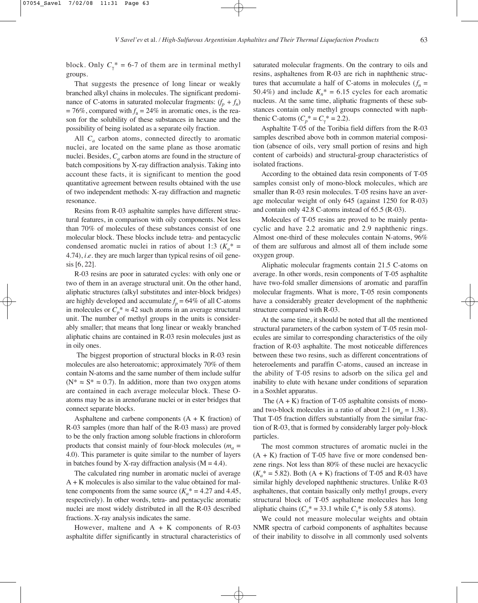block. Only  $C_{\gamma}^* = 6-7$  of them are in terminal methyl groups.

That suggests the presence of long linear or weakly branched alkyl chains in molecules. The significant predominance of C-atoms in saturated molecular fragments:  $(f_p + f_n)$  $= 76\%$ , compared with  $f_a = 24\%$  in aromatic ones, is the reason for the solubility of these substances in hexane and the possibility of being isolated as a separate oily fraction.

All *C<sub>a</sub>* carbon atoms, connected directly to aromatic nuclei, are located on the same plane as those aromatic nuclei. Besides,  $C_a$  carbon atoms are found in the structure of batch compositions by X-ray diffraction analysis. Taking into account these facts, it is significant to mention the good quantitative agreement between results obtained with the use of two independent methods: X-ray diffraction and magnetic resonance.

Resins from R-03 asphaltite samples have different structural features, in comparison with oily components. Not less than 70% of molecules of these substances consist of one molecular block. These blocks include tetra- and pentacyclic condensed aromatic nuclei in ratios of about 1:3 ( $K_a^*$  = 4.74), *i*.*e*. they are much larger than typical resins of oil genesis [6, 22].

R-03 resins are poor in saturated cycles: with only one or two of them in an average structural unit. On the other hand, aliphatic structures (alkyl substitutes and inter-block bridges) are highly developed and accumulate  $f_p = 64\%$  of all C-atoms in molecules or  $C_p^* \approx 42$  such atoms in an average structural unit. The number of methyl groups in the units is considerably smaller; that means that long linear or weakly branched aliphatic chains are contained in R-03 resin molecules just as in oily ones.

The biggest proportion of structural blocks in R-03 resin molecules are also heteroatomic; approximately 70% of them contain N-atoms and the same number of them include sulfur  $(N^* \approx S^* \approx 0.7)$ . In addition, more than two oxygen atoms are contained in each average molecular block. These Oatoms may be as in arenofurane nuclei or in ester bridges that connect separate blocks.

Asphaltene and carbene components  $(A + K)$  fraction of R-03 samples (more than half of the R-03 mass) are proved to be the only fraction among soluble fractions in chloroform products that consist mainly of four-block molecules ( $m_a$  = 4.0). This parameter is quite similar to the number of layers in batches found by X-ray diffraction analysis  $(M = 4.4)$ .

The calculated ring number in aromatic nuclei of average A + K molecules is also similar to the value obtained for maltene components from the same source  $(K_a^* = 4.27$  and 4.45, respectively). In other words, tetra- and pentacyclic aromatic nuclei are most widely distributed in all the R-03 described fractions. X-ray analysis indicates the same.

However, maltene and  $A + K$  components of R-03 asphaltite differ significantly in structural characteristics of saturated molecular fragments. On the contrary to oils and resins, asphaltenes from R-03 are rich in naphthenic structures that accumulate a half of C-atoms in molecules  $(f_n =$ 50.4%) and include  $K_n^* = 6.15$  cycles for each aromatic nucleus. At the same time, aliphatic fragments of these substances contain only methyl groups connected with naphthenic C-atoms ( $C_p^* = C_\gamma^* = 2.2$ ).

Asphaltite T-05 of the Toribia field differs from the R-03 samples described above both in common material composition (absence of oils, very small portion of resins and high content of carboids) and structural-group characteristics of isolated fractions.

According to the obtained data resin components of T-05 samples consist only of mono-block molecules, which are smaller than R-03 resin molecules. T-05 resins have an average molecular weight of only 645 (against 1250 for R-03) and contain only 42.8 C-atoms instead of 65.5 (R-03).

Molecules of T-05 resins are proved to be mainly pentacyclic and have 2.2 aromatic and 2.9 naphthenic rings. Almost one-third of these molecules contain N-atoms, 96% of them are sulfurous and almost all of them include some oxygen group.

Aliphatic molecular fragments contain 21.5 C-atoms on average. In other words, resin components of T-05 asphaltite have two-fold smaller dimensions of aromatic and paraffin molecular fragments. What is more, T-05 resin components have a considerably greater development of the naphthenic structure compared with R-03.

At the same time, it should be noted that all the mentioned structural parameters of the carbon system of T-05 resin molecules are similar to corresponding characteristics of the oily fraction of R-03 asphaltite. The most noticeable differences between these two resins, such as different concentrations of heteroelements and paraffin C-atoms, caused an increase in the ability of T-05 resins to adsorb on the silica gel and inability to elute with hexane under conditions of separation in a Soxhlet apparatus.

The  $(A + K)$  fraction of T-05 asphaltite consists of monoand two-block molecules in a ratio of about 2:1 ( $m_a = 1.38$ ). That T-05 fraction differs substantially from the similar fraction of R-03, that is formed by considerably larger poly-block particles.

The most common structures of aromatic nuclei in the  $(A + K)$  fraction of T-05 have five or more condensed benzene rings. Not less than 80% of these nuclei are hexacyclic  $(K_a^* = 5.82)$ . Both  $(A + K)$  fractions of T-05 and R-03 have similar highly developed naphthenic structures. Unlike R-03 asphaltenes, that contain basically only methyl groups, every structural block of T-05 asphaltene molecules has long aliphatic chains  $(C_p^* = 33.1 \text{ while } C_\gamma^* \text{ is only 5.8 atoms).}$ 

We could not measure molecular weights and obtain NMR spectra of carboid components of asphaltites because of their inability to dissolve in all commonly used solvents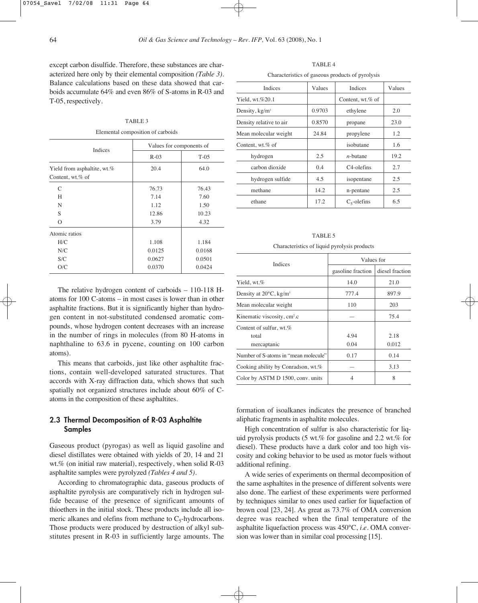except carbon disulfide. Therefore, these substances are characterized here only by their elemental composition *(Table 3)*. Balance calculations based on these data showed that carboids accumulate 64% and even 86% of S-atoms in R-03 and T-05, respectively.

#### TABLE 3

Elemental composition of carboids

| <b>Indices</b>                                  | Values for components of |         |  |  |
|-------------------------------------------------|--------------------------|---------|--|--|
|                                                 | $R-03$                   | $T-0.5$ |  |  |
| Yield from asphaltite, wt.%<br>Content, wt.% of | 20.4                     | 64.0    |  |  |
| C                                               | 76.73                    | 76.43   |  |  |
| H                                               | 7.14                     | 7.60    |  |  |
| N                                               | 1.12                     | 1.50    |  |  |
| S                                               | 12.86                    | 10.23   |  |  |
| $\Omega$                                        | 3.79                     | 4.32    |  |  |
| Atomic ratios                                   |                          |         |  |  |
| H/C                                             | 1.108                    | 1.184   |  |  |
| N/C                                             | 0.0125                   | 0.0168  |  |  |
| S/C                                             | 0.0627                   | 0.0501  |  |  |
| O/C                                             | 0.0370                   | 0.0424  |  |  |

The relative hydrogen content of carboids – 110-118 Hatoms for 100 C-atoms – in most cases is lower than in other asphaltite fractions. But it is significantly higher than hydrogen content in not-substituted condensed aromatic compounds, whose hydrogen content decreases with an increase in the number of rings in molecules (from 80 H-atoms in naphthaline to 63.6 in pycene, counting on 100 carbon atoms).

This means that carboids, just like other asphaltite fractions, contain well-developed saturated structures. That accords with X-ray diffraction data, which shows that such spatially not organized structures include about 60% of Catoms in the composition of these asphaltites.

# 2.3 Thermal Decomposition of R-03 Asphaltite Samples

Gaseous product (pyrogas) as well as liquid gasoline and diesel distillates were obtained with yields of 20, 14 and 21 wt.% (on initial raw material), respectively, when solid R-03 asphaltite samples were pyrolyzed *(Tables 4 and 5)*.

According to chromatographic data, gaseous products of asphaltite pyrolysis are comparatively rich in hydrogen sulfide because of the presence of significant amounts of thioethers in the initial stock. These products include all isomeric alkanes and olefins from methane to  $C_5$ -hydrocarbons. Those products were produced by destruction of alkyl substitutes present in R-03 in sufficiently large amounts. The

TABLE 4

Characteristics of gaseous products of pyrolysis

| <b>Indices</b>          | Values | <b>Indices</b>          | Values |
|-------------------------|--------|-------------------------|--------|
| Yield, wt.%20.1         |        | Content, wt.% of        |        |
| Density, $kg/m^3$       | 0.9703 | ethylene                | 2.0    |
| Density relative to air | 0.8570 | propane                 | 23.0   |
| Mean molecular weight   | 24.84  | propylene               | 1.2    |
| Content, wt.% of        |        | isobutane               | 1.6    |
| hydrogen                | 2.5    | $n$ -butane             | 19.2   |
| carbon dioxide          | 0.4    | C <sub>4</sub> -olefins | 2.7    |
| hydrogen sulfide        | 4.5    | isopentane              | 2.5    |
| methane                 | 14.2   | n-pentane               | 2.5    |
| ethane                  | 17.2   | 6.5<br>$C_5$ -olefins   |        |
|                         |        |                         |        |

| Characteristics of liquid pyrolysis products |                   |                 |  |  |
|----------------------------------------------|-------------------|-----------------|--|--|
| <b>Indices</b>                               | Values for        |                 |  |  |
|                                              | gasoline fraction | diesel fraction |  |  |
| Yield, wt.%                                  | 14.0              | 21.0            |  |  |
| Density at $20^{\circ}$ C, kg/m <sup>3</sup> | 777.4             | 897.9           |  |  |
| Mean molecular weight                        | 110               | 203             |  |  |
| Kinematic viscosity, cm <sup>2</sup> .c      |                   | 75.4            |  |  |
| Content of sulfur, wt.%                      |                   |                 |  |  |
| total                                        | 4.94              | 2.18            |  |  |
| mercaptanic                                  | 0.04              | 0.012           |  |  |
| Number of S-atoms in "mean molecule"         | 0.17              | 0.14            |  |  |
| Cooking ability by Conradson, wt.%           |                   | 3.13            |  |  |
| Color by ASTM D 1500, conv. units            | 4                 | 8               |  |  |

TABLE 5 Characteristics of liquid pyrolysis products

formation of isoalkanes indicates the presence of branched aliphatic fragments in asphaltite molecules.

High concentration of sulfur is also characteristic for liquid pyrolysis products (5 wt.% for gasoline and 2.2 wt.% for diesel). These products have a dark color and too high viscosity and coking behavior to be used as motor fuels without additional refining.

A wide series of experiments on thermal decomposition of the same asphaltites in the presence of different solvents were also done. The earliest of these experiments were performed by techniques similar to ones used earlier for liquefaction of brown coal [23, 24]. As great as 73.7% of OMA conversion degree was reached when the final temperature of the asphaltite liquefaction process was 450°C, *i*.*e*. OMA conversion was lower than in similar coal processing [15].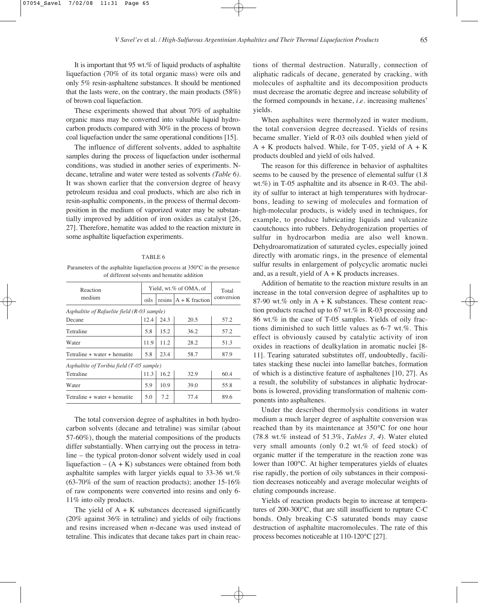It is important that 95 wt.% of liquid products of asphaltite liquefaction (70% of its total organic mass) were oils and only 5% resin-asphaltene substances. It should be mentioned that the lasts were, on the contrary, the main products (58%) of brown coal liquefaction.

These experiments showed that about 70% of asphaltite organic mass may be converted into valuable liquid hydrocarbon products compared with 30% in the process of brown coal liquefaction under the same operational conditions [15].

The influence of different solvents, added to asphaltite samples during the process of liquefaction under isothermal conditions, was studied in another series of experiments. Ndecane, tetraline and water were tested as solvents *(Table 6)*. It was shown earlier that the conversion degree of heavy petroleum residua and coal products, which are also rich in resin-asphaltic components, in the process of thermal decomposition in the medium of vaporized water may be substantially improved by addition of iron oxides as catalyst [26, 27]. Therefore, hematite was added to the reaction mixture in some asphaltite liquefaction experiments.

#### TABLE 6

Parameters of the asphaltite liquefaction process at 350°C in the presence of different solvents and hematite addition

| Reaction                                    |      | Yield, wt.% of OMA, of | Total                   |            |  |  |
|---------------------------------------------|------|------------------------|-------------------------|------------|--|--|
| medium                                      | oils |                        | resins $A + K$ fraction | conversion |  |  |
| Asphaltite of Rafaelite field (R-03 sample) |      |                        |                         |            |  |  |
| Decane                                      | 12.4 | 24.3                   | 20.5                    | 57.2       |  |  |
| Tetraline                                   | 5.8  | 15.2                   | 36.2                    | 57.2       |  |  |
| Water                                       | 11.9 | 11.2                   | 28.2                    | 51.3       |  |  |
| Tetraline + water + hematite                | 5.8  | 23.4                   | 58.7                    | 87.9       |  |  |
| Asphaltite of Toribia field (T-05 sample)   |      |                        |                         |            |  |  |
| Tetraline                                   | 11.3 | 16.2                   | 32.9                    | 60.4       |  |  |
| Water                                       | 5.9  | 10.9                   | 39.0                    | 55.8       |  |  |
| Tetraline + water + hematite                | 5.0  | 7.2                    | 77.4                    | 89.6       |  |  |

The total conversion degree of asphaltites in both hydrocarbon solvents (decane and tetraline) was similar (about 57-60%), though the material compositions of the products differ substantially. When carrying out the process in tetraline – the typical proton-donor solvent widely used in coal liquefaction –  $(A + K)$  substances were obtained from both asphaltite samples with larger yields equal to 33-36 wt.% (63-70% of the sum of reaction products); another 15-16% of raw components were converted into resins and only 6- 11% into oily products.

The yield of  $A + K$  substances decreased significantly (20% against 36% in tetraline) and yields of oily fractions and resins increased when *n*-decane was used instead of tetraline. This indicates that decane takes part in chain reactions of thermal destruction. Naturally, connection of aliphatic radicals of decane, generated by cracking, with molecules of asphaltite and its decomposition products must decrease the aromatic degree and increase solubility of the formed compounds in hexane, *i*.*e*. increasing maltenes' yields.

When asphaltites were thermolyzed in water medium, the total conversion degree decreased. Yields of resins became smaller. Yield of R-03 oils doubled when yield of  $A + K$  products halved. While, for T-05, yield of  $A + K$ products doubled and yield of oils halved.

The reason for this difference in behavior of asphaltites seems to be caused by the presence of elemental sulfur (1.8 wt.%) in T-05 asphaltite and its absence in R-03. The ability of sulfur to interact at high temperatures with hydrocarbons, leading to sewing of molecules and formation of high-molecular products, is widely used in techniques, for example, to produce lubricating liquids and vulcanize caoutchoucs into rubbers. Dehydrogenization properties of sulfur in hydrocarbon media are also well known. Dehydroaromatization of saturated cycles, especially joined directly with aromatic rings, in the presence of elemental sulfur results in enlargement of polycyclic aromatic nuclei and, as a result, yield of  $A + K$  products increases.

Addition of hematite to the reaction mixture results in an increase in the total conversion degree of asphaltites up to 87-90 wt.% only in  $A + K$  substances. These content reaction products reached up to 67 wt.% in R-03 processing and 86 wt.% in the case of T-05 samples. Yields of oily fractions diminished to such little values as 6-7 wt.%. This effect is obviously caused by catalytic activity of iron oxides in reactions of dealkylation in aromatic nuclei [8- 11]. Tearing saturated substitutes off, undoubtedly, facilitates stacking these nuclei into lamellar batches, formation of which is a distinctive feature of asphaltenes [10, 27]. As a result, the solubility of substances in aliphatic hydrocarbons is lowered, providing transformation of maltenic components into asphaltenes.

Under the described thermolysis conditions in water medium a much larger degree of asphaltite conversion was reached than by its maintenance at 350°C for one hour (78.8 wt.% instead of 51.3%, *Tables 3, 4*). Water eluted very small amounts (only 0.2 wt.% of feed stock) of organic matter if the temperature in the reaction zone was lower than 100°C. At higher temperatures yields of eluates rise rapidly, the portion of oily substances in their composition decreases noticeably and average molecular weights of eluting compounds increase.

Yields of reaction products begin to increase at temperatures of 200-300°C, that are still insufficient to rupture C-C bonds. Only breaking C-S saturated bonds may cause destruction of asphaltite macromolecules. The rate of this process becomes noticeable at 110-120°C [27].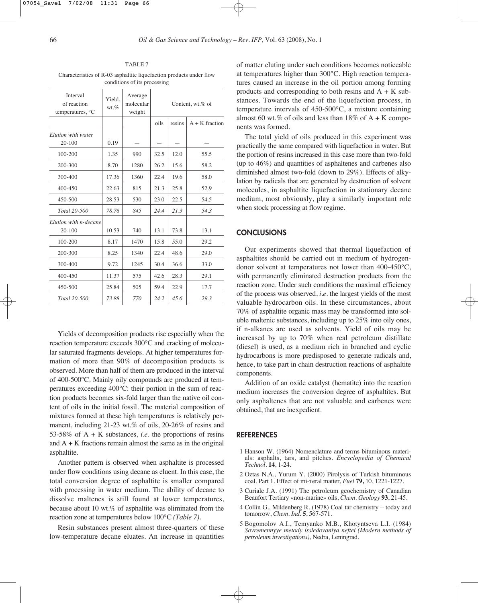TABLE 7 Characteristics of R-03 asphaltite liquefaction products under flow conditions of its processing

| Interval<br>of reaction<br>temperatures, <sup>o</sup> C | Yield.<br>$wt.\%$ | Average<br>molecular<br>weight | Content, wt.% of |        |                  |
|---------------------------------------------------------|-------------------|--------------------------------|------------------|--------|------------------|
|                                                         |                   |                                | oils             | resins | $A + K$ fraction |
| Elution with water<br>$20 - 100$                        | 0.19              |                                |                  |        |                  |
| 100-200                                                 | 1.35              | 990                            | 32.5             | 12.0   | 55.5             |
| 200-300                                                 | 8.70              | 1280                           | 26.2             | 15.6   | 58.2             |
| 300-400                                                 | 17.36             | 1360                           | 22.4             | 19.6   | 58.0             |
| $400 - 450$                                             | 22.63             | 815                            | 21.3             | 25.8   | 52.9             |
| 450-500                                                 | 28.53             | 530                            | 23.0             | 22.5   | 54.5             |
| Total 20-500                                            | 78.76             | 845                            | 24.4             | 21.3   | 54.3             |
| Elution with <i>n</i> -decane<br>$20 - 100$             | 10.53             | 740                            | 13.1             | 73.8   | 13.1             |
| $100 - 200$                                             | 8.17              | 1470                           | 15.8             | 55.0   | 29.2             |
| 200-300                                                 | 8.25              | 1340                           | 22.4             | 48.6   | 29.0             |
| 300-400                                                 | 9.72              | 1245                           | 30.4             | 36.6   | 33.0             |
| $400 - 450$                                             | 11.37             | 575                            | 42.6             | 28.3   | 29.1             |
| 450-500                                                 | 25.84             | 505                            | 59.4             | 22.9   | 17.7             |
| Total 20-500                                            | 73.88             | 770                            | 24.2             | 45.6   | 29.3             |

Yields of decomposition products rise especially when the reaction temperature exceeds 300°C and cracking of molecular saturated fragments develops. At higher temperatures formation of more than 90% of decomposition products is observed. More than half of them are produced in the interval of 400-500°C. Mainly oily compounds are produced at temperatures exceeding 400°C: their portion in the sum of reaction products becomes six-fold larger than the native oil content of oils in the initial fossil. The material composition of mixtures formed at these high temperatures is relatively permanent, including 21-23 wt.% of oils, 20-26% of resins and 53-58% of A + K substances, *i*.*e*. the proportions of resins and  $A + K$  fractions remain almost the same as in the original asphaltite.

Another pattern is observed when asphaltite is processed under flow conditions using decane as eluent. In this case, the total conversion degree of asphaltite is smaller compared with processing in water medium. The ability of decane to dissolve maltenes is still found at lower temperatures, because about 10 wt.% of asphaltite was eliminated from the reaction zone at temperatures below 100°C *(Table 7)*.

Resin substances present almost three-quarters of these low-temperature decane eluates. An increase in quantities of matter eluting under such conditions becomes noticeable at temperatures higher than 300°C. High reaction temperatures caused an increase in the oil portion among forming products and corresponding to both resins and  $A + K$  substances. Towards the end of the liquefaction process, in temperature intervals of 450-500°C, a mixture containing almost 60 wt.% of oils and less than 18% of  $A + K$  components was formed.

The total yield of oils produced in this experiment was practically the same compared with liquefaction in water. But the portion of resins increased in this case more than two-fold (up to 46%) and quantities of asphaltenes and carbenes also diminished almost two-fold (down to 29%). Effects of alkylation by radicals that are generated by destruction of solvent molecules, in asphaltite liquefaction in stationary decane medium, most obviously, play a similarly important role when stock processing at flow regime.

#### **CONCLUSIONS**

Our experiments showed that thermal liquefaction of asphaltites should be carried out in medium of hydrogendonor solvent at temperatures not lower than 400-450°C, with permanently eliminated destruction products from the reaction zone. Under such conditions the maximal efficiency of the process was observed, *i*.*e*. the largest yields of the most valuable hydrocarbon oils. In these circumstances, about 70% of asphaltite organic mass may be transformed into soluble maltenic substances, including up to 25% into oily ones, if n-alkanes are used as solvents. Yield of oils may be increased by up to 70% when real petroleum distillate (diesel) is used, as a medium rich in branched and cyclic hydrocarbons is more predisposed to generate radicals and, hence, to take part in chain destruction reactions of asphaltite components.

Addition of an oxide catalyst (hematite) into the reaction medium increases the conversion degree of asphaltites. But only asphaltenes that are not valuable and carbenes were obtained, that are inexpedient.

#### **REFERENCES**

- 1 Hanson W. (1964) Nomenclature and terms bituminous materials: asphalts, tars, and pitches. *Encyclopedia of Chemical Technol.* **14**, 1-24.
- 2 Oztas N.A., Yurum Y. (2000) Pirolysis of Turkish bituminous coal. Part 1. Effect of mi-Teral matter, *Fuel* **79,** 10, 1221-1227.
- 3 Curiale J.A. (1991) The petroleum geochemistry of Canadian Beaufort Tertiary «non-marine» oils, *Chem. Geology* **93**, 21-45.
- 4 Collin G., Mildenberg R. (1978) Coal tar chemistry today and tomorrow, *Chem. Ind.* **5**, 567-571.
- 5 Bogomolov A.I., Temyanko M.B., Khotyntseva L.I. (1984) *Sovremennyye metody issledovaniya neftei (Modern methods of petroleum investigations)*, Nedra, Leningrad.